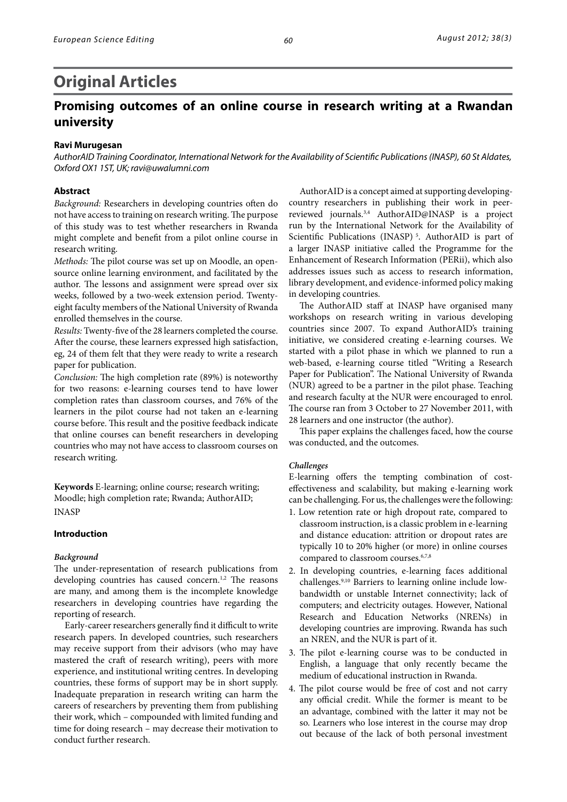# **Original Articles**

# **Promising outcomes of an online course in research writing at a Rwandan university**

# **Ravi Murugesan**

*AuthorAID Training Coordinator, International Network for the Availability of Scientific Publications (INASP), 60 St Aldates, Oxford OX1 1ST, UK; ravi@uwalumni.com*

# **Abstract**

*Background:* Researchers in developing countries often do not have access to training on research writing. The purpose of this study was to test whether researchers in Rwanda might complete and benefit from a pilot online course in research writing.

*Methods:* The pilot course was set up on Moodle, an opensource online learning environment, and facilitated by the author. The lessons and assignment were spread over six weeks, followed by a two-week extension period. Twentyeight faculty members of the National University of Rwanda enrolled themselves in the course.

*Results:* Twenty-five of the 28 learners completed the course. After the course, these learners expressed high satisfaction, eg, 24 of them felt that they were ready to write a research paper for publication.

*Conclusion:* The high completion rate (89%) is noteworthy for two reasons: e-learning courses tend to have lower completion rates than classroom courses, and 76% of the learners in the pilot course had not taken an e-learning course before. This result and the positive feedback indicate that online courses can benefit researchers in developing countries who may not have access to classroom courses on research writing.

**Keywords** E-learning; online course; research writing; Moodle; high completion rate; Rwanda; AuthorAID; INASP

# **Introduction**

#### *Background*

The under-representation of research publications from developing countries has caused concern.<sup>1,2</sup> The reasons are many, and among them is the incomplete knowledge researchers in developing countries have regarding the reporting of research.

Early-career researchers generally find it difficult to write research papers. In developed countries, such researchers may receive support from their advisors (who may have mastered the craft of research writing), peers with more experience, and institutional writing centres. In developing countries, these forms of support may be in short supply. Inadequate preparation in research writing can harm the careers of researchers by preventing them from publishing their work, which – compounded with limited funding and time for doing research – may decrease their motivation to conduct further research.

AuthorAID is a concept aimed at supporting developingcountry researchers in publishing their work in peerreviewed journals.3,4 AuthorAID@INASP is a project run by the International Network for the Availability of Scientific Publications (INASP)<sup>5</sup>. AuthorAID is part of a larger INASP initiative called the Programme for the Enhancement of Research Information (PERii), which also addresses issues such as access to research information, library development, and evidence-informed policy making in developing countries.

The AuthorAID staff at INASP have organised many workshops on research writing in various developing countries since 2007. To expand AuthorAID's training initiative, we considered creating e-learning courses. We started with a pilot phase in which we planned to run a web-based, e-learning course titled "Writing a Research Paper for Publication". The National University of Rwanda (NUR) agreed to be a partner in the pilot phase. Teaching and research faculty at the NUR were encouraged to enrol. The course ran from 3 October to 27 November 2011, with 28 learners and one instructor (the author).

This paper explains the challenges faced, how the course was conducted, and the outcomes.

# *Challenges*

E-learning offers the tempting combination of costeffectiveness and scalability, but making e-learning work can be challenging. For us, the challenges were the following:

- 1. Low retention rate or high dropout rate, compared to classroom instruction, is a classic problem in e-learning and distance education: attrition or dropout rates are typically 10 to 20% higher (or more) in online courses compared to classroom courses.<sup>6,7,8</sup>
- 2. In developing countries, e-learning faces additional challenges.9,10 Barriers to learning online include lowbandwidth or unstable Internet connectivity; lack of computers; and electricity outages. However, National Research and Education Networks (NRENs) in developing countries are improving. Rwanda has such an NREN, and the NUR is part of it.
- 3. The pilot e-learning course was to be conducted in English, a language that only recently became the medium of educational instruction in Rwanda.
- 4. The pilot course would be free of cost and not carry any official credit. While the former is meant to be an advantage, combined with the latter it may not be so. Learners who lose interest in the course may drop out because of the lack of both personal investment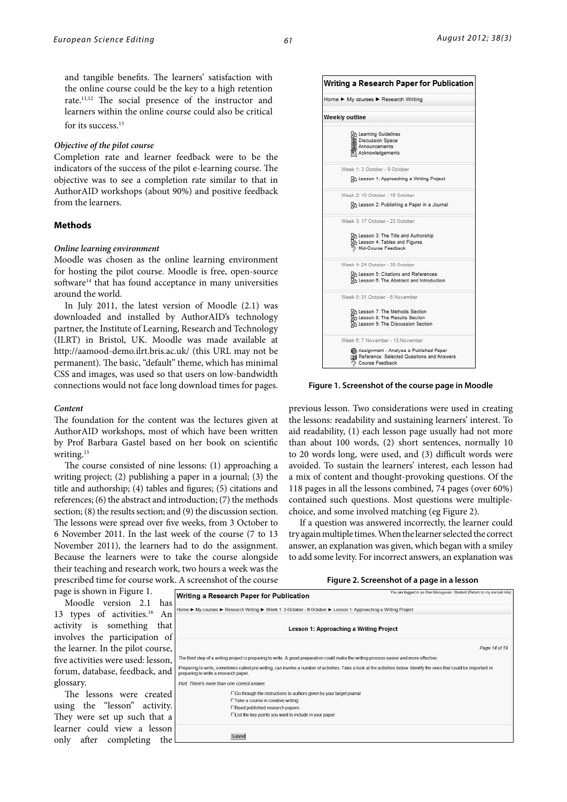and tangible benefits. The learners' satisfaction with the online course could be the key to a high retention rate.11,12 The social presence of the instructor and learners within the online course could also be critical for its success.<sup>13</sup>

### *Objective of the pilot course*

Completion rate and learner feedback were to be the indicators of the success of the pilot e-learning course. The objective was to see a completion rate similar to that in AuthorAID workshops (about 90%) and positive feedback from the learners.

# **Methods**

#### *Online learning environment*

Moodle was chosen as the online learning environment for hosting the pilot course. Moodle is free, open-source software<sup>14</sup> that has found acceptance in many universities around the world.

In July 2011, the latest version of Moodle (2.1) was downloaded and installed by AuthorAID's technology partner, the Institute of Learning, Research and Technology (ILRT) in Bristol, UK. Moodle was made available at <http://aamood-demo.ilrt.bris.ac.uk/>(this URL may not be permanent). The basic, "default" theme, which has minimal CSS and images, was used so that users on low-bandwidth connections would not face long download times for pages.

#### *Content*

The foundation for the content was the lectures given at AuthorAID workshops, most of which have been written by Prof Barbara Gastel based on her book on scientific writing.15

The course consisted of nine lessons: (1) approaching a writing project; (2) publishing a paper in a journal; (3) the title and authorship; (4) tables and figures; (5) citations and references; (6) the abstract and introduction; (7) the methods section; (8) the results section; and (9) the discussion section. The lessons were spread over five weeks, from 3 October to 6 November 2011. In the last week of the course (7 to 13 November 2011), the learners had to do the assignment. Because the learners were to take the course alongside their teaching and research work, two hours a week was the prescribed time for course work. A screenshot of the course



**Figure 1. Screenshot of the course page in Moodle**

previous lesson. Two considerations were used in creating the lessons: readability and sustaining learners' interest. To aid readability, (1) each lesson page usually had not more than about 100 words, (2) short sentences, normally 10 to 20 words long, were used, and (3) difficult words were avoided. To sustain the learners' interest, each lesson had a mix of content and thought-provoking questions. Of the 118 pages in all the lessons combined, 74 pages (over 60%) contained such questions. Most questions were multiplechoice, and some involved matching (eg Figure 2).

If a question was answered incorrectly, the learner could try again multiple times. When the learner selected the correct answer, an explanation was given, which began with a smiley to add some levity. For incorrect answers, an explanation was

#### **Figure 2. Screenshot of a page in a lesson**

|  | page is shown in Figure 1. |  |
|--|----------------------------|--|
|  |                            |  |

Moodle version 2.1 has 13 types of activities.<sup>16</sup> An activity is something that involves the participation of the learner. In the pilot course, five activities were used: lesson, forum, database, feedback, and glossary.

The lessons were created using the "lesson" activity. They were set up such that a learner could view a lesson only after completing the

|                                             | Writing a Research Paper for Publication                                                                                                                                | You are logged in as Ravi Murugesan: Student (Return to my normal role) |
|---------------------------------------------|-------------------------------------------------------------------------------------------------------------------------------------------------------------------------|-------------------------------------------------------------------------|
|                                             | Home ► My courses ► Research Writing ► Week 1: 3 October - 9 October ► Lesson 1: Approaching a Writing Project                                                          |                                                                         |
|                                             | Lesson 1: Approaching a Writing Project                                                                                                                                 |                                                                         |
|                                             |                                                                                                                                                                         | Page 14 of 19                                                           |
|                                             | The third step of a writing project is preparing to write. A good preparation could make the writing process easier and more effective.                                 |                                                                         |
| preparing to write a research paper.        | Preparing to write, sometimes called pre-writing, can involve a number of activities. Take a look at the activities below. Identify the ones that could be important in |                                                                         |
| Hint: There's more than one correct answer. |                                                                                                                                                                         |                                                                         |
|                                             | □ Go through the instructions to authors given by your target journal                                                                                                   |                                                                         |
|                                             | □Take a course in creative writing                                                                                                                                      |                                                                         |
|                                             | □ Read published research papers                                                                                                                                        |                                                                         |
|                                             | □ List the key points you want to include in your paper                                                                                                                 |                                                                         |
|                                             | Submit                                                                                                                                                                  |                                                                         |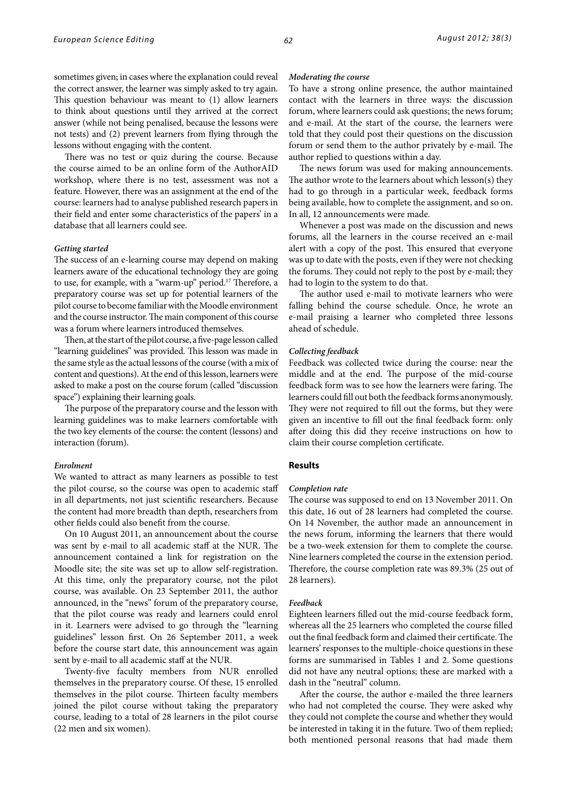sometimes given; in cases where the explanation could reveal the correct answer, the learner was simply asked to try again. This question behaviour was meant to (1) allow learners to think about questions until they arrived at the correct answer (while not being penalised, because the lessons were not tests) and (2) prevent learners from flying through the lessons without engaging with the content.

There was no test or quiz during the course. Because the course aimed to be an online form of the AuthorAID workshop, where there is no test, assessment was not a feature. However, there was an assignment at the end of the course: learners had to analyse published research papers in their field and enter some characteristics of the papers' in a database that all learners could see.

## *Getting started*

The success of an e-learning course may depend on making learners aware of the educational technology they are going to use, for example, with a "warm-up" period.17 Therefore, a preparatory course was set up for potential learners of the pilot course to become familiar with the Moodle environment and the course instructor. The main component of this course was a forum where learners introduced themselves.

Then, at the start of the pilot course, a five-page lesson called "learning guidelines" was provided. This lesson was made in the same style as the actual lessons of the course (with a mix of content and questions). At the end of this lesson, learners were asked to make a post on the course forum (called "discussion space") explaining their learning goals.

The purpose of the preparatory course and the lesson with learning guidelines was to make learners comfortable with the two key elements of the course: the content (lessons) and interaction (forum).

### *Enrolment*

We wanted to attract as many learners as possible to test the pilot course, so the course was open to academic staff in all departments, not just scientific researchers. Because the content had more breadth than depth, researchers from other fields could also benefit from the course.

On 10 August 2011, an announcement about the course was sent by e-mail to all academic staff at the NUR. The announcement contained a link for registration on the Moodle site; the site was set up to allow self-registration. At this time, only the preparatory course, not the pilot course, was available. On 23 September 2011, the author announced, in the "news" forum of the preparatory course, that the pilot course was ready and learners could enrol in it. Learners were advised to go through the "learning guidelines" lesson first. On 26 September 2011, a week before the course start date, this announcement was again sent by e-mail to all academic staff at the NUR.

Twenty-five faculty members from NUR enrolled themselves in the preparatory course. Of these, 15 enrolled themselves in the pilot course. Thirteen faculty members joined the pilot course without taking the preparatory course, leading to a total of 28 learners in the pilot course (22 men and six women).

# *Moderating the course*

To have a strong online presence, the author maintained contact with the learners in three ways: the discussion forum, where learners could ask questions; the news forum; and e-mail. At the start of the course, the learners were told that they could post their questions on the discussion forum or send them to the author privately by e-mail. The author replied to questions within a day.

The news forum was used for making announcements. The author wrote to the learners about which lesson(s) they had to go through in a particular week, feedback forms being available, how to complete the assignment, and so on. In all, 12 announcements were made.

Whenever a post was made on the discussion and news forums, all the learners in the course received an e-mail alert with a copy of the post. This ensured that everyone was up to date with the posts, even if they were not checking the forums. They could not reply to the post by e-mail; they had to login to the system to do that.

The author used e-mail to motivate learners who were falling behind the course schedule. Once, he wrote an e-mail praising a learner who completed three lessons ahead of schedule.

#### *Collecting feedback*

Feedback was collected twice during the course: near the middle and at the end. The purpose of the mid-course feedback form was to see how the learners were faring. The learners could fill out both the feedback forms anonymously. They were not required to fill out the forms, but they were given an incentive to fill out the final feedback form: only after doing this did they receive instructions on how to claim their course completion certificate.

# **Results**

#### *Completion rate*

The course was supposed to end on 13 November 2011. On this date, 16 out of 28 learners had completed the course. On 14 November, the author made an announcement in the news forum, informing the learners that there would be a two-week extension for them to complete the course. Nine learners completed the course in the extension period. Therefore, the course completion rate was 89.3% (25 out of 28 learners).

# *Feedback*

Eighteen learners filled out the mid-course feedback form, whereas all the 25 learners who completed the course filled out the final feedback form and claimed their certificate. The learners' responses to the multiple-choice questions in these forms are summarised in Tables 1 and 2. Some questions did not have any neutral options; these are marked with a dash in the "neutral" column.

After the course, the author e-mailed the three learners who had not completed the course. They were asked why they could not complete the course and whether they would be interested in taking it in the future. Two of them replied; both mentioned personal reasons that had made them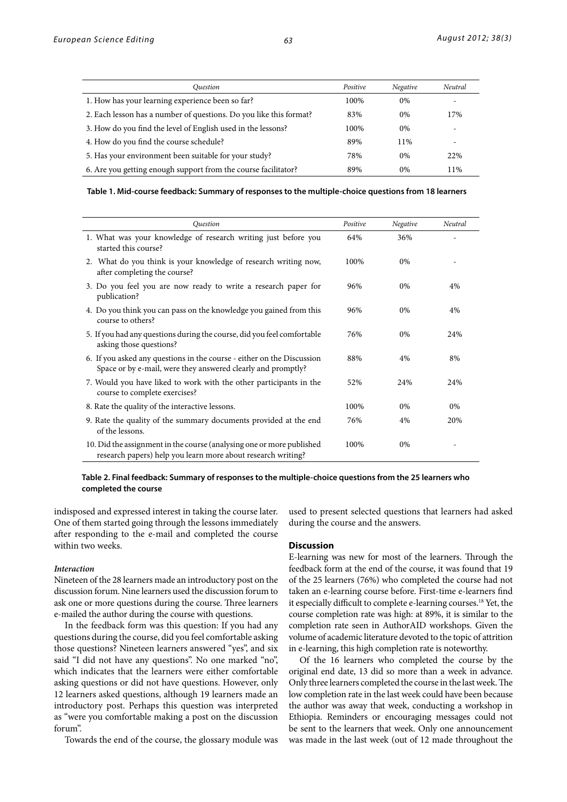| Ouestion                                                           | Positive | Negative | Neutral                  |
|--------------------------------------------------------------------|----------|----------|--------------------------|
| 1. How has your learning experience been so far?                   | 100%     | $0\%$    | $\overline{\phantom{0}}$ |
| 2. Each lesson has a number of questions. Do you like this format? | 83%      | $0\%$    | 17%                      |
| 3. How do you find the level of English used in the lessons?       | 100%     | $0\%$    |                          |
| 4. How do you find the course schedule?                            | 89%      | 11%      |                          |
| 5. Has your environment been suitable for your study?              | 78%      | $0\%$    | 22%                      |
| 6. Are you getting enough support from the course facilitator?     | 89%      | $0\%$    | 11%                      |

### **Table 1. Mid-course feedback: Summary of responses to the multiple-choice questions from 18 learners**

| <b>Ouestion</b>                                                                                                                        | Positive | Negative | Neutral |
|----------------------------------------------------------------------------------------------------------------------------------------|----------|----------|---------|
| 1. What was your knowledge of research writing just before you<br>started this course?                                                 | 64%      | 36%      |         |
| 2. What do you think is your knowledge of research writing now,<br>after completing the course?                                        | 100%     | $0\%$    |         |
| 3. Do you feel you are now ready to write a research paper for<br>publication?                                                         | 96%      | $0\%$    | 4%      |
| 4. Do you think you can pass on the knowledge you gained from this<br>course to others?                                                | 96%      | $0\%$    | 4%      |
| 5. If you had any questions during the course, did you feel comfortable<br>asking those questions?                                     | 76%      | $0\%$    | 24%     |
| 6. If you asked any questions in the course - either on the Discussion<br>Space or by e-mail, were they answered clearly and promptly? | 88%      | 4%       | 8%      |
| 7. Would you have liked to work with the other participants in the<br>course to complete exercises?                                    | 52%      | 24%      | 24%     |
| 8. Rate the quality of the interactive lessons.                                                                                        | 100%     | $0\%$    | $0\%$   |
| 9. Rate the quality of the summary documents provided at the end<br>of the lessons.                                                    | 76%      | 4%       | 20%     |
| 10. Did the assignment in the course (analysing one or more published<br>research papers) help you learn more about research writing?  | 100%     | 0%       |         |

# **Table 2. Final feedback: Summary of responses to the multiple-choice questions from the 25 learners who completed the course**

indisposed and expressed interest in taking the course later. One of them started going through the lessons immediately after responding to the e-mail and completed the course within two weeks.

#### *Interaction*

Nineteen of the 28 learners made an introductory post on the discussion forum. Nine learners used the discussion forum to ask one or more questions during the course. Three learners e-mailed the author during the course with questions.

In the feedback form was this question: If you had any questions during the course, did you feel comfortable asking those questions? Nineteen learners answered "yes", and six said "I did not have any questions". No one marked "no", which indicates that the learners were either comfortable asking questions or did not have questions. However, only 12 learners asked questions, although 19 learners made an introductory post. Perhaps this question was interpreted as "were you comfortable making a post on the discussion forum".

Towards the end of the course, the glossary module was

used to present selected questions that learners had asked during the course and the answers.

#### **Discussion**

E-learning was new for most of the learners. Through the feedback form at the end of the course, it was found that 19 of the 25 learners (76%) who completed the course had not taken an e-learning course before. First-time e-learners find it especially difficult to complete e-learning courses.18 Yet, the course completion rate was high: at 89%, it is similar to the completion rate seen in AuthorAID workshops. Given the volume of academic literature devoted to the topic of attrition in e-learning, this high completion rate is noteworthy.

Of the 16 learners who completed the course by the original end date, 13 did so more than a week in advance. Only three learners completed the course in the last week. The low completion rate in the last week could have been because the author was away that week, conducting a workshop in Ethiopia. Reminders or encouraging messages could not be sent to the learners that week. Only one announcement was made in the last week (out of 12 made throughout the